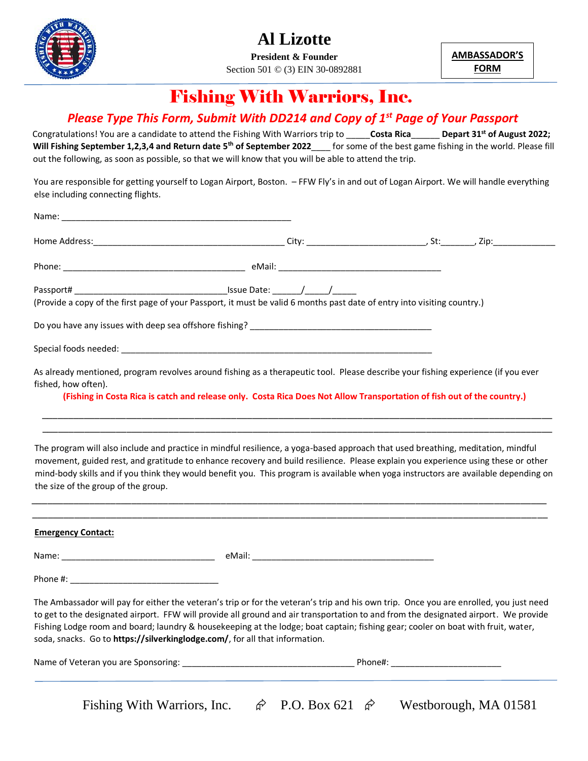

**President & Founder** Section 501 © (3) EIN 30-0892881 **AMBASSADOR'S FORM**

## Fishing With Warriors, Inc.

### *Please Type This Form, Submit With DD214 and Copy of 1st Page of Your Passport*

Congratulations! You are a candidate to attend the Fishing With Warriors trip to \_\_\_\_\_**Costa Rica**\_\_\_\_\_\_ **Depart 31st of August 2022;**  Will Fishing September 1,2,3,4 and Return date 5<sup>th</sup> of September 2022\_\_\_\_ for some of the best game fishing in the world. Please fill out the following, as soon as possible, so that we will know that you will be able to attend the trip.

You are responsible for getting yourself to Logan Airport, Boston. – FFW Fly's in and out of Logan Airport. We will handle everything else including connecting flights.

| (Provide a copy of the first page of your Passport, it must be valid 6 months past date of entry into visiting country.)          |                                                                                                                         |  |  |
|-----------------------------------------------------------------------------------------------------------------------------------|-------------------------------------------------------------------------------------------------------------------------|--|--|
|                                                                                                                                   |                                                                                                                         |  |  |
|                                                                                                                                   |                                                                                                                         |  |  |
| As already mentioned, program revolves around fishing as a therapeutic tool. Please describe your fishing experience (if you ever |                                                                                                                         |  |  |
| fished, how often).                                                                                                               |                                                                                                                         |  |  |
|                                                                                                                                   | (Fishing in Costa Rica is catch and release only. Costa Rica Does Not Allow Transportation of fish out of the country.) |  |  |
|                                                                                                                                   |                                                                                                                         |  |  |

The program will also include and practice in mindful resilience, a yoga-based approach that used breathing, meditation, mindful movement, guided rest, and gratitude to enhance recovery and build resilience. Please explain you experience using these or other mind-body skills and if you think they would benefit you. This program is available when yoga instructors are available depending on the size of the group of the group.

\_\_\_\_\_\_\_\_\_\_\_\_\_\_\_\_\_\_\_\_\_\_\_\_\_\_\_\_\_\_\_\_\_\_\_\_\_\_\_\_\_\_\_\_\_\_\_\_\_\_\_\_\_\_\_\_\_\_\_\_\_\_\_\_\_\_\_\_\_\_\_\_\_\_\_\_\_\_\_\_\_\_\_\_\_\_\_\_\_\_\_\_\_\_\_\_\_\_

\_\_\_\_\_\_\_\_\_\_\_\_\_\_\_\_\_\_\_\_\_\_\_\_\_\_\_\_\_\_\_\_\_\_\_\_\_\_\_\_\_\_\_\_\_\_\_\_\_\_\_\_\_\_\_\_\_\_\_\_\_\_\_\_\_\_\_\_\_\_\_\_\_\_\_\_\_\_\_\_\_\_\_\_\_\_\_\_\_\_\_\_\_\_\_\_\_

| <b>Emergency Contact:</b>                                                   |                                                                                                                                                                                                                                                                                                                                                                                                                   |
|-----------------------------------------------------------------------------|-------------------------------------------------------------------------------------------------------------------------------------------------------------------------------------------------------------------------------------------------------------------------------------------------------------------------------------------------------------------------------------------------------------------|
|                                                                             |                                                                                                                                                                                                                                                                                                                                                                                                                   |
|                                                                             |                                                                                                                                                                                                                                                                                                                                                                                                                   |
| soda, snacks. Go to https://silverkinglodge.com/, for all that information. | The Ambassador will pay for either the veteran's trip or for the veteran's trip and his own trip. Once you are enrolled, you just need<br>to get to the designated airport. FFW will provide all ground and air transportation to and from the designated airport. We provide<br>Fishing Lodge room and board; laundry & housekeeping at the lodge; boat captain; fishing gear; cooler on boat with fruit, water, |

| Name o.<br>f Veteran you are Sponsoring: | mone <del>r</del> . |  |
|------------------------------------------|---------------------|--|
|                                          |                     |  |
|                                          |                     |  |
|                                          |                     |  |

Fishing With Warriors, Inc.  $\hat{\varphi}$  P.O. Box 621  $\hat{\varphi}$  Westborough, MA 01581